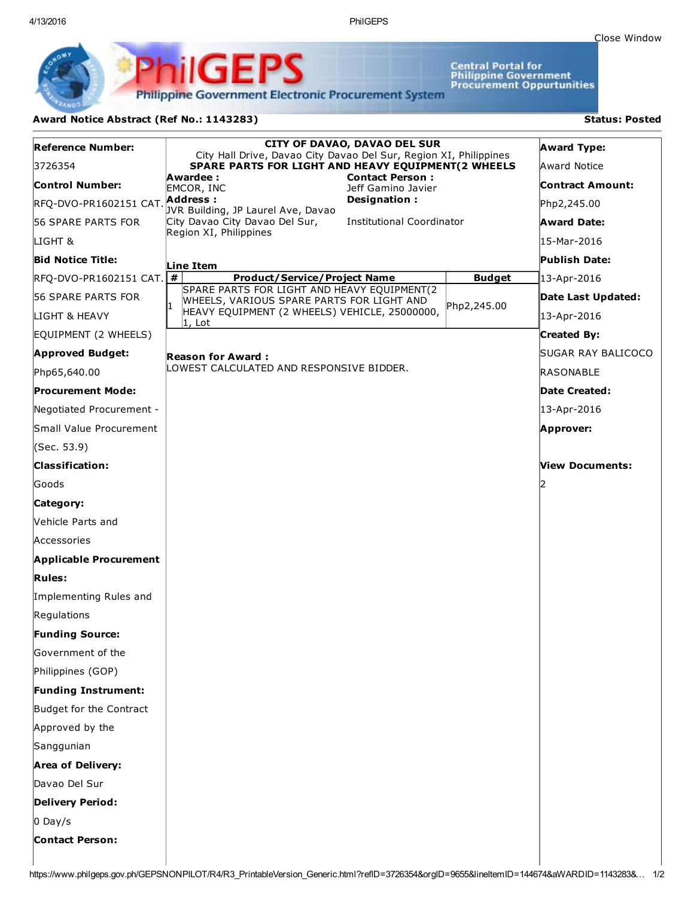Close [Window](javascript:window.close();)

Central Portal for<br>Philippine Government<br>Procurement Oppurtunities

**Philippine Government Electronic Procurement System** 

PhilGEPS

## Award Notice Abstract (Ref No.: 1143283) Status: Posted

| Reference Number:             | <b>CITY OF DAVAO, DAVAO DEL SUR</b><br>City Hall Drive, Davao City Davao Del Sur, Region XI, Philippines |               | <b>Award Type:</b>      |
|-------------------------------|----------------------------------------------------------------------------------------------------------|---------------|-------------------------|
| 3726354                       | SPARE PARTS FOR LIGHT AND HEAVY EQUIPMENT(2 WHEELS<br><b>Contact Person:</b><br>Awardee :                |               | Award Notice            |
| Control Number:               | EMCOR, INC<br>Jeff Gamino Javier                                                                         |               | <b>Contract Amount:</b> |
| RFQ-DVO-PR1602151 CAT.        | Address:<br>Designation:<br>JVR Building, JP Laurel Ave, Davao                                           |               | Php2,245.00             |
| 56 SPARE PARTS FOR            | <b>Institutional Coordinator</b><br>City Davao City Davao Del Sur,                                       |               | <b>Award Date:</b>      |
| LIGHT &                       | Region XI, Philippines                                                                                   |               | 15-Mar-2016             |
| <b>Bid Notice Title:</b>      | Line Item                                                                                                |               | <b>Publish Date:</b>    |
| RFQ-DVO-PR1602151 CAT. #      | <b>Product/Service/Project Name</b>                                                                      | <b>Budget</b> | 13-Apr-2016             |
| 56 SPARE PARTS FOR            | SPARE PARTS FOR LIGHT AND HEAVY EQUIPMENT(2<br>WHEELS, VARIOUS SPARE PARTS FOR LIGHT AND                 | Php2,245.00   | Date Last Updated:      |
| LIGHT & HEAVY                 | HEAVY EQUIPMENT (2 WHEELS) VEHICLE, 25000000,<br>1, Lot                                                  |               | 13-Apr-2016             |
| EQUIPMENT (2 WHEELS)          |                                                                                                          |               | <b>Created By:</b>      |
| <b>Approved Budget:</b>       | <b>Reason for Award:</b>                                                                                 |               | SUGAR RAY BALICOCO      |
| Php65,640.00                  | LOWEST CALCULATED AND RESPONSIVE BIDDER.                                                                 |               | <b>RASONABLE</b>        |
| <b>Procurement Mode:</b>      |                                                                                                          |               | Date Created:           |
| Negotiated Procurement -      |                                                                                                          |               | 13-Apr-2016             |
| Small Value Procurement       |                                                                                                          |               | Approver:               |
| (Sec. 53.9)                   |                                                                                                          |               |                         |
| <b>Classification:</b>        |                                                                                                          |               | <b>View Documents:</b>  |
| lGoods                        |                                                                                                          |               |                         |
| Category:                     |                                                                                                          |               |                         |
| <b>Nehicle Parts and</b>      |                                                                                                          |               |                         |
| Accessories                   |                                                                                                          |               |                         |
| <b>Applicable Procurement</b> |                                                                                                          |               |                         |
| <b>Rules:</b>                 |                                                                                                          |               |                         |
| Implementing Rules and        |                                                                                                          |               |                         |
| Regulations                   |                                                                                                          |               |                         |
| <b>Funding Source:</b>        |                                                                                                          |               |                         |
| Government of the             |                                                                                                          |               |                         |
| Philippines (GOP)             |                                                                                                          |               |                         |
| <b>Funding Instrument:</b>    |                                                                                                          |               |                         |
| Budget for the Contract       |                                                                                                          |               |                         |
| Approved by the               |                                                                                                          |               |                         |
| Sanggunian                    |                                                                                                          |               |                         |
| <b>Area of Delivery:</b>      |                                                                                                          |               |                         |
| Davao Del Sur                 |                                                                                                          |               |                         |
| <b>Delivery Period:</b>       |                                                                                                          |               |                         |
| $0$ Day/s                     |                                                                                                          |               |                         |
| <b>Contact Person:</b>        |                                                                                                          |               |                         |
|                               |                                                                                                          |               |                         |